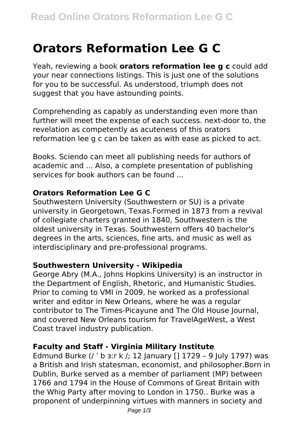# **Orators Reformation Lee G C**

Yeah, reviewing a book **orators reformation lee g c** could add your near connections listings. This is just one of the solutions for you to be successful. As understood, triumph does not suggest that you have astounding points.

Comprehending as capably as understanding even more than further will meet the expense of each success. next-door to, the revelation as competently as acuteness of this orators reformation lee g c can be taken as with ease as picked to act.

Books. Sciendo can meet all publishing needs for authors of academic and ... Also, a complete presentation of publishing services for book authors can be found ...

# **Orators Reformation Lee G C**

Southwestern University (Southwestern or SU) is a private university in Georgetown, Texas.Formed in 1873 from a revival of collegiate charters granted in 1840, Southwestern is the oldest university in Texas. Southwestern offers 40 bachelor's degrees in the arts, sciences, fine arts, and music as well as interdisciplinary and pre-professional programs.

#### **Southwestern University - Wikipedia**

George Abry (M.A., Johns Hopkins University) is an instructor in the Department of English, Rhetoric, and Humanistic Studies. Prior to coming to VMI in 2009, he worked as a professional writer and editor in New Orleans, where he was a regular contributor to The Times-Picayune and The Old House Journal, and covered New Orleans tourism for TravelAgeWest, a West Coast travel industry publication.

# **Faculty and Staff - Virginia Military Institute**

Edmund Burke (/ ˈ b ɜːr k /; 12 January [] 1729 – 9 July 1797) was a British and Irish statesman, economist, and philosopher.Born in Dublin, Burke served as a member of parliament (MP) between 1766 and 1794 in the House of Commons of Great Britain with the Whig Party after moving to London in 1750.. Burke was a proponent of underpinning virtues with manners in society and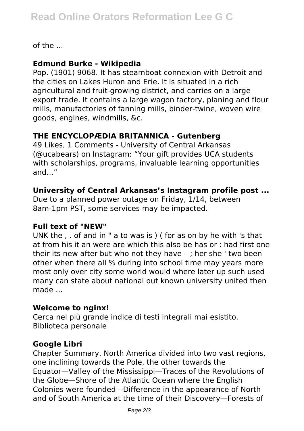of the ...

### **Edmund Burke - Wikipedia**

Pop. (1901) 9068. It has steamboat connexion with Detroit and the cities on Lakes Huron and Erie. It is situated in a rich agricultural and fruit-growing district, and carries on a large export trade. It contains a large wagon factory, planing and flour mills, manufactories of fanning mills, binder-twine, woven wire goods, engines, windmills, &c.

# **THE ENCYCLOPÆDIA BRITANNICA - Gutenberg**

49 Likes, 1 Comments - University of Central Arkansas (@ucabears) on Instagram: "Your gift provides UCA students with scholarships, programs, invaluable learning opportunities and…"

# **University of Central Arkansas's Instagram profile post ...**

Due to a planned power outage on Friday, 1/14, between 8am-1pm PST, some services may be impacted.

#### **Full text of "NEW"**

UNK the , . of and in " a to was is ) ( for as on by he with 's that at from his it an were are which this also be has or : had first one their its new after but who not they have – ; her she ' two been other when there all % during into school time may years more most only over city some world would where later up such used many can state about national out known university united then made ...

# **Welcome to nginx!**

Cerca nel più grande indice di testi integrali mai esistito. Biblioteca personale

# **Google Libri**

Chapter Summary. North America divided into two vast regions, one inclining towards the Pole, the other towards the Equator—Valley of the Mississippi—Traces of the Revolutions of the Globe—Shore of the Atlantic Ocean where the English Colonies were founded—Difference in the appearance of North and of South America at the time of their Discovery—Forests of